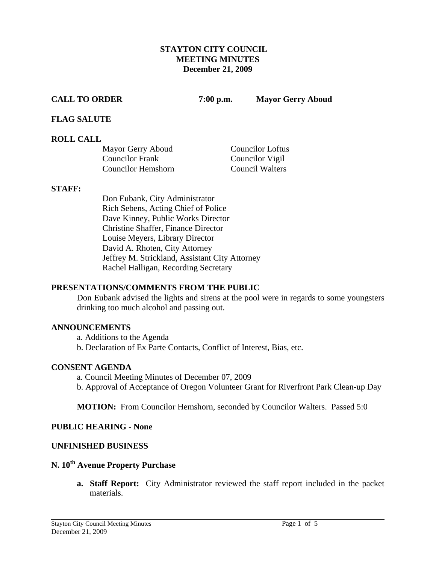#### **STAYTON CITY COUNCIL MEETING MINUTES December 21, 2009**

**CALL TO ORDER 7:00 p.m. Mayor Gerry Aboud** 

## **FLAG SALUTE**

## **ROLL CALL**

| Mayor Gerry Aboud      | <b>Councilor Loftus</b> |
|------------------------|-------------------------|
| <b>Councilor Frank</b> | Councilor Vigil         |
| Councilor Hemshorn     | <b>Council Walters</b>  |

#### **STAFF:**

Don Eubank, City Administrator Rich Sebens, Acting Chief of Police Dave Kinney, Public Works Director Christine Shaffer, Finance Director Louise Meyers, Library Director David A. Rhoten, City Attorney Jeffrey M. Strickland, Assistant City Attorney Rachel Halligan, Recording Secretary

#### **PRESENTATIONS/COMMENTS FROM THE PUBLIC**

Don Eubank advised the lights and sirens at the pool were in regards to some youngsters drinking too much alcohol and passing out.

#### **ANNOUNCEMENTS**

a. Additions to the Agenda

b. Declaration of Ex Parte Contacts, Conflict of Interest, Bias, etc.

#### **CONSENT AGENDA**

a. Council Meeting Minutes of December 07, 2009 b. Approval of Acceptance of Oregon Volunteer Grant for Riverfront Park Clean-up Day

**MOTION:** From Councilor Hemshorn, seconded by Councilor Walters. Passed 5:0

#### **PUBLIC HEARING - None**

#### **UNFINISHED BUSINESS**

## **N. 10<sup>th</sup> Avenue Property Purchase**

**a. Staff Report:** City Administrator reviewed the staff report included in the packet materials.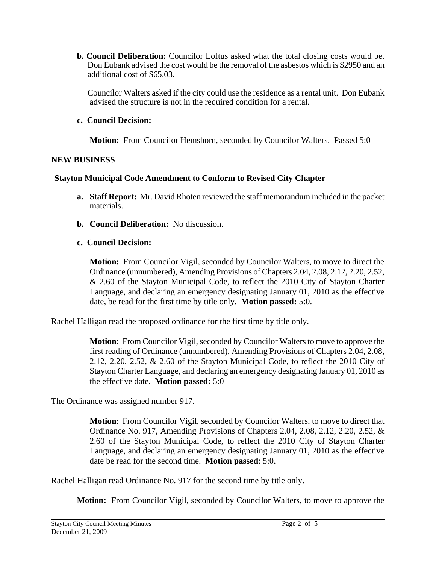**b. Council Deliberation:** Councilor Loftus asked what the total closing costs would be. Don Eubank advised the cost would be the removal of the asbestos which is \$2950 and an additional cost of \$65.03.

 Councilor Walters asked if the city could use the residence as a rental unit. Don Eubank advised the structure is not in the required condition for a rental.

## **c. Council Decision:**

**Motion:** From Councilor Hemshorn, seconded by Councilor Walters. Passed 5:0

## **NEW BUSINESS**

## **Stayton Municipal Code Amendment to Conform to Revised City Chapter**

- **a. Staff Report:** Mr. David Rhoten reviewed the staff memorandum included in the packet materials.
- **b. Council Deliberation:** No discussion.
- **c. Council Decision:**

**Motion:** From Councilor Vigil, seconded by Councilor Walters, to move to direct the Ordinance (unnumbered), Amending Provisions of Chapters 2.04, 2.08, 2.12, 2.20, 2.52, & 2.60 of the Stayton Municipal Code, to reflect the 2010 City of Stayton Charter Language, and declaring an emergency designating January 01, 2010 as the effective date, be read for the first time by title only. **Motion passed:** 5:0.

Rachel Halligan read the proposed ordinance for the first time by title only.

**Motion:** From Councilor Vigil, seconded by Councilor Walters to move to approve the first reading of Ordinance (unnumbered), Amending Provisions of Chapters 2.04, 2.08, 2.12, 2.20, 2.52, & 2.60 of the Stayton Municipal Code, to reflect the 2010 City of Stayton Charter Language, and declaring an emergency designating January 01, 2010 as the effective date. **Motion passed:** 5:0

The Ordinance was assigned number 917.

**Motion**: From Councilor Vigil, seconded by Councilor Walters, to move to direct that Ordinance No. 917, Amending Provisions of Chapters 2.04, 2.08, 2.12, 2.20, 2.52, & 2.60 of the Stayton Municipal Code, to reflect the 2010 City of Stayton Charter Language, and declaring an emergency designating January 01, 2010 as the effective date be read for the second time. **Motion passed**: 5:0.

Rachel Halligan read Ordinance No. 917 for the second time by title only.

**Motion:** From Councilor Vigil, seconded by Councilor Walters, to move to approve the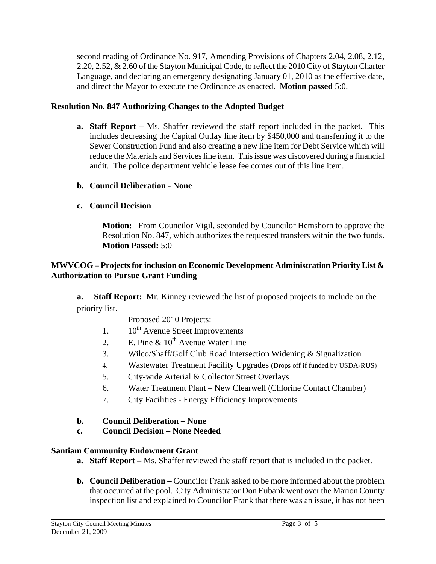second reading of Ordinance No. 917, Amending Provisions of Chapters 2.04, 2.08, 2.12, 2.20, 2.52, & 2.60 of the Stayton Municipal Code, to reflect the 2010 City of Stayton Charter Language, and declaring an emergency designating January 01, 2010 as the effective date, and direct the Mayor to execute the Ordinance as enacted. **Motion passed** 5:0.

## **Resolution No. 847 Authorizing Changes to the Adopted Budget**

- **a. Staff Report** Ms. Shaffer reviewed the staff report included in the packet. This includes decreasing the Capital Outlay line item by \$450,000 and transferring it to the Sewer Construction Fund and also creating a new line item for Debt Service which will reduce the Materials and Services line item. This issue was discovered during a financial audit. The police department vehicle lease fee comes out of this line item.
- **b. Council Deliberation None**
- **c. Council Decision**

**Motion:** From Councilor Vigil, seconded by Councilor Hemshorn to approve the Resolution No. 847, which authorizes the requested transfers within the two funds. **Motion Passed:** 5:0

## **MWVCOG – Projects for inclusion on Economic Development Administration Priority List & Authorization to Pursue Grant Funding**

**a. Staff Report:** Mr. Kinney reviewed the list of proposed projects to include on the priority list.

- Proposed 2010 Projects:
- 1.  $10^{th}$  Avenue Street Improvements
- 2. E. Pine  $\&$  10<sup>th</sup> Avenue Water Line
- 3. Wilco/Shaff/Golf Club Road Intersection Widening & Signalization
- 4. Wastewater Treatment Facility Upgrades (Drops off if funded by USDA-RUS)
- 5. City-wide Arterial & Collector Street Overlays
- 6. Water Treatment Plant New Clearwell (Chlorine Contact Chamber)
- 7. City Facilities Energy Efficiency Improvements

## **b. Council Deliberation – None**

**c. Council Decision – None Needed** 

#### **Santiam Community Endowment Grant**

- **a. Staff Report** Ms. Shaffer reviewed the staff report that is included in the packet.
- **b. Council Deliberation –** Councilor Frank asked to be more informed about the problem that occurred at the pool. City Administrator Don Eubank went over the Marion County inspection list and explained to Councilor Frank that there was an issue, it has not been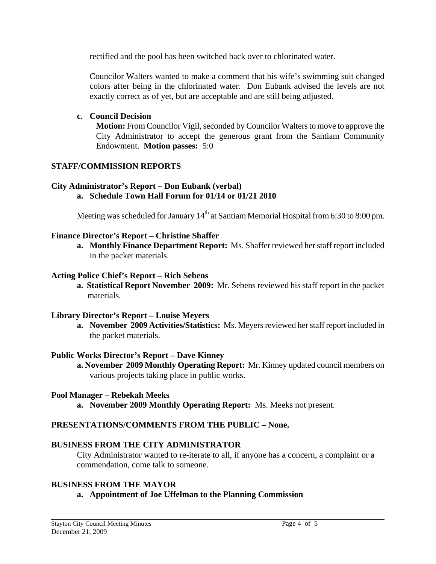rectified and the pool has been switched back over to chlorinated water.

Councilor Walters wanted to make a comment that his wife's swimming suit changed colors after being in the chlorinated water. Don Eubank advised the levels are not exactly correct as of yet, but are acceptable and are still being adjusted.

## **c. Council Decision**

**Motion:** From Councilor Vigil, seconded by Councilor Walters to move to approve the City Administrator to accept the generous grant from the Santiam Community Endowment. **Motion passes:** 5:0

#### **STAFF/COMMISSION REPORTS**

# **City Administrator's Report – Don Eubank (verbal)**

## **a. Schedule Town Hall Forum for 01/14 or 01/21 2010**

Meeting was scheduled for January  $14<sup>th</sup>$  at Santiam Memorial Hospital from 6:30 to 8:00 pm.

## **Finance Director's Report – Christine Shaffer**

**a. Monthly Finance Department Report:** Ms. Shaffer reviewed her staff report included in the packet materials.

## **Acting Police Chief's Report – Rich Sebens**

**a. Statistical Report November 2009:** Mr. Sebens reviewed his staff report in the packet materials.

#### **Library Director's Report – Louise Meyers**

**a. November 2009 Activities/Statistics:** Ms. Meyers reviewed her staff report included in the packet materials.

## **Public Works Director's Report – Dave Kinney**

 **a. November 2009 Monthly Operating Report:** Mr. Kinney updated council members on various projects taking place in public works.

#### **Pool Manager – Rebekah Meeks**

**a. November 2009 Monthly Operating Report:** Ms. Meeks not present.

## **PRESENTATIONS/COMMENTS FROM THE PUBLIC – None.**

## **BUSINESS FROM THE CITY ADMINISTRATOR**

City Administrator wanted to re-iterate to all, if anyone has a concern, a complaint or a commendation, come talk to someone.

## **BUSINESS FROM THE MAYOR**

#### **a. Appointment of Joe Uffelman to the Planning Commission**